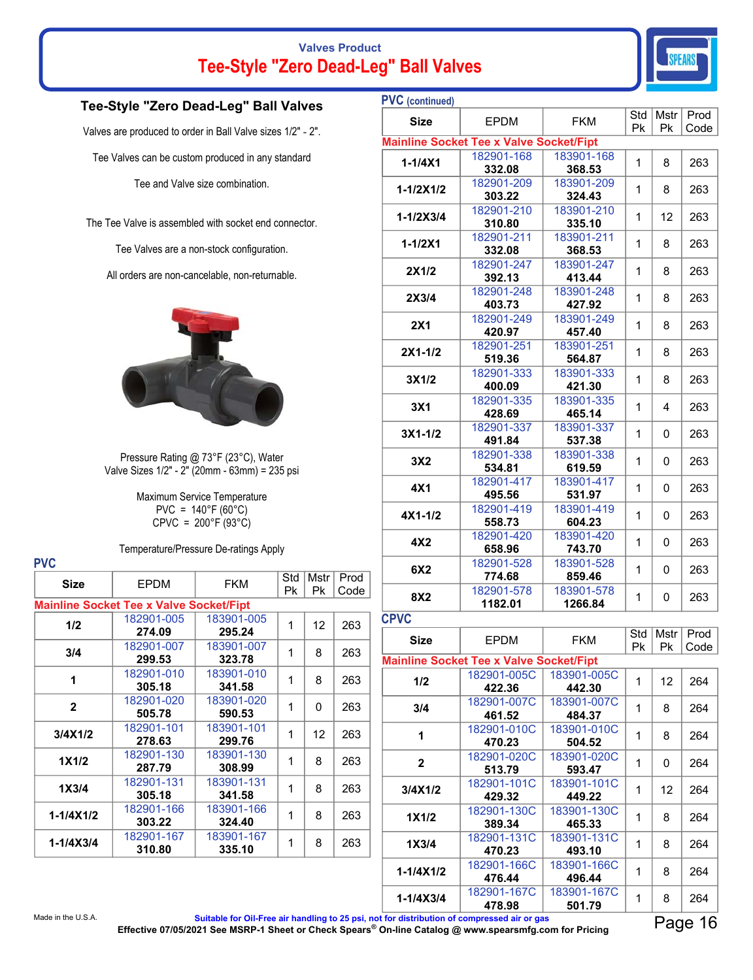# **Valves Product Tee-Style "Zero Dead-Leg" Ball Valves**



### **Tee-Style "Zero Dead-Leg" Ball Valves**

Valves are produced to order in Ball Valve sizes 1/2" - 2".

Tee Valves can be custom produced in any standard

Tee and Valve size combination.

The Tee Valve is assembled with socket end connector.

Tee Valves are a non-stock configuration.

All orders are non-cancelable, non-returnable.



Pressure Rating @ 73°F (23°C), Water Valve Sizes 1/2" - 2" (20mm - 63mm) = 235 psi

> Maximum Service Temperature PVC =  $140^{\circ}F(60^{\circ}C)$  $C$ PVC = 200°F (93°C)

**PVC** 

Temperature/Pressure De-ratings Apply

| <b>Size</b>   | <b>EPDM</b>                                    | <b>FKM</b>           | Std<br>Рk | Mstr<br>Рk | Prod<br>Code |
|---------------|------------------------------------------------|----------------------|-----------|------------|--------------|
|               | <b>Mainline Socket Tee x Valve Socket/Fipt</b> |                      |           |            |              |
| 1/2           | 182901-005<br>274.09                           | 183901-005<br>295.24 | 1         | 12         | 263          |
| 3/4           | 182901-007<br>299.53                           | 183901-007<br>323.78 | 1         | 8          | 263          |
| 1             | 182901-010<br>305.18                           | 183901-010<br>341.58 | 1         | 8          | 263          |
| $\mathbf{2}$  | 182901-020<br>505.78                           | 183901-020<br>590.53 | 1         | 0          | 263          |
| 3/4X1/2       | 182901-101<br>278.63                           | 183901-101<br>299.76 | 1         | 12         | 263          |
| 1X1/2         | 182901-130<br>287.79                           | 183901-130<br>308.99 | 1         | 8          | 263          |
| 1X3/4         | 182901-131<br>305.18                           | 183901-131<br>341.58 | 1         | 8          | 263          |
| 1-1/4X1/2     | 182901-166<br>303.22                           | 183901-166<br>324.40 | 1         | 8          | 263          |
| $1 - 1/4X3/4$ | 182901-167<br>310.80                           | 183901-167<br>335.10 | 1         | 8          | 263          |

| <b>PVC</b> (continued)                         |                                                |                       |           |            |              |  |
|------------------------------------------------|------------------------------------------------|-----------------------|-----------|------------|--------------|--|
| <b>Size</b>                                    | <b>EPDM</b>                                    | <b>FKM</b>            | Std<br>Pk | Mstr<br>Pk | Prod<br>Code |  |
| <b>Mainline Socket Tee x Valve Socket/Fipt</b> |                                                |                       |           |            |              |  |
| $1 - 1/4X1$                                    | 182901-168                                     | 183901-168            | 1         | 8          | 263          |  |
|                                                | 332.08                                         | 368.53                |           |            |              |  |
| $1 - 1/2X1/2$                                  | 182901-209<br>303.22                           | 183901-209<br>324.43  | 1         | 8          | 263          |  |
|                                                | 182901-210                                     | 183901-210            |           |            |              |  |
| $1 - 1/2X3/4$                                  | 310.80                                         | 335.10                | 1         | 12         | 263          |  |
| $1 - 1/2X1$                                    | 182901-211                                     | 183901-211            | 1         | 8          | 263          |  |
|                                                | 332.08                                         | 368.53                |           |            |              |  |
| 2X1/2                                          | 182901-247<br>392.13                           | 183901-247<br>413.44  | 1         | 8          | 263          |  |
|                                                | 182901-248                                     | 183901-248            |           |            |              |  |
| 2X3/4                                          | 403.73                                         | 427.92                | 1         | 8          | 263          |  |
| <b>2X1</b>                                     | 182901-249                                     | 183901-249            | 1         | 8          | 263          |  |
|                                                | 420.97                                         | 457.40                |           |            |              |  |
| $2X1 - 1/2$                                    | 182901-251                                     | 183901-251            | 1         | 8          | 263          |  |
|                                                | 519.36<br>182901-333                           | 564.87<br>183901-333  |           |            |              |  |
| 3X1/2                                          | 400.09                                         | 421.30                | 1         | 8          | 263          |  |
|                                                | 182901-335                                     | 183901-335            |           |            |              |  |
| 3X <sub>1</sub>                                | 428.69                                         | 465.14                | 1         | 4          | 263          |  |
| $3X1 - 1/2$                                    | 182901-337                                     | 183901-337            | 1         | 0          | 263          |  |
|                                                | 491.84                                         | 537.38                |           |            |              |  |
| 3X2                                            | 182901-338<br>534.81                           | 183901-338<br>619.59  | 1         | 0          | 263          |  |
|                                                | 182901-417                                     | 183901-417            |           |            |              |  |
| 4X1                                            | 495.56                                         | 531.97                | 1         | 0          | 263          |  |
| $4X1 - 1/2$                                    | 182901-419                                     | 183901-419            | 1         | 0          | 263          |  |
|                                                | 558.73                                         | 604.23                |           |            |              |  |
| 4X2                                            | 182901-420<br>658.96                           | 183901-420<br>743.70  | 1         | 0          | 263          |  |
|                                                | 182901-528                                     | 183901-528            |           |            |              |  |
| 6X2                                            | 774.68                                         | 859.46                | 1         | 0          | 263          |  |
| 8X2                                            | 182901-578                                     | 183901-578            | 1         | 0          | 263          |  |
|                                                | 1182.01                                        | 1266.84               |           |            |              |  |
| <b>CPVC</b>                                    |                                                |                       |           |            |              |  |
| Size                                           | <b>EPDM</b>                                    | <b>FKM</b>            | Std       | Mstr       | Prod         |  |
|                                                | <b>Mainline Socket Tee x Valve Socket/Fipt</b> |                       | Pk        | Pk         | Code         |  |
|                                                | 182901-005C                                    | 183901-005C           |           |            |              |  |
| 1/2                                            | 422.36                                         | 442.30                | 1         | 12         | 264          |  |
| 3/4                                            | 182901-007C                                    | 183901-007C           | 1         | 8          | 264          |  |
|                                                | 461.52                                         | 484.37                |           |            |              |  |
| 1                                              | 182901-010C<br>470.23                          | 183901-010C<br>504.52 | 1         | 8          | 264          |  |
|                                                |                                                |                       |           |            |              |  |
| $\overline{2}$                                 |                                                |                       |           |            |              |  |
|                                                | 182901-020C<br>513.79                          | 183901-020C<br>593.47 | 1         | 0          | 264          |  |
|                                                | 182901-101C                                    | 183901-101C           |           |            |              |  |
| 3/4X1/2                                        | 429.32                                         | 449.22                | 1         | 12         | 264          |  |
| 1X1/2                                          | 182901-130C                                    | 183901-130C           | 1         | 8          | 264          |  |
|                                                | 389.34                                         | 465.33                |           |            |              |  |
| 1X3/4                                          | 182901-131C                                    | 183901-131C           | 1         | 8          | 264          |  |
|                                                | 470.23<br>182901-166C                          | 493.10<br>183901-166C |           |            |              |  |
| 1-1/4X1/2                                      | 476.44<br>182901-167C                          | 496.44<br>183901-167C | 1         | 8          | 264          |  |

Made in the U.S.A. **Suitable for Oil-Free air handling to 25 psi, not for distribution of compressed air or gas Effective 07/05/2021 See MSRP-1 Sheet or Check Spears® On-line Catalog @ www.spearsmfg.com for Pricing** Page 16